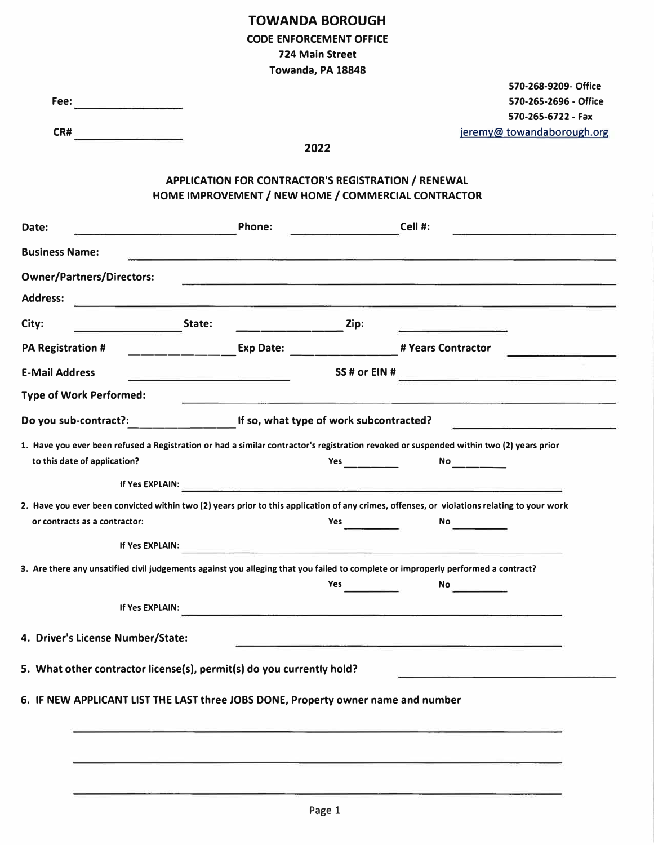## **TOWANDA BOROUGH CODE ENFORCEMENT OFFICE 724 Main Street Towanda, PA 18848**

|                                   |                                                                                                                                             | Towanda, PA 18848                                                                                                                                                                                                                   |                                                                                                                                                                                                                                     |                            |  |
|-----------------------------------|---------------------------------------------------------------------------------------------------------------------------------------------|-------------------------------------------------------------------------------------------------------------------------------------------------------------------------------------------------------------------------------------|-------------------------------------------------------------------------------------------------------------------------------------------------------------------------------------------------------------------------------------|----------------------------|--|
|                                   |                                                                                                                                             |                                                                                                                                                                                                                                     |                                                                                                                                                                                                                                     | 570-268-9209- Office       |  |
| Fee:                              |                                                                                                                                             |                                                                                                                                                                                                                                     |                                                                                                                                                                                                                                     | 570-265-2696 - Office      |  |
|                                   |                                                                                                                                             |                                                                                                                                                                                                                                     |                                                                                                                                                                                                                                     | 570-265-6722 - Fax         |  |
| CR#                               | <b>Contract Contract</b>                                                                                                                    |                                                                                                                                                                                                                                     |                                                                                                                                                                                                                                     | jeremy@ towandaborough.org |  |
|                                   |                                                                                                                                             | 2022                                                                                                                                                                                                                                |                                                                                                                                                                                                                                     |                            |  |
|                                   | APPLICATION FOR CONTRACTOR'S REGISTRATION / RENEWAL<br>HOME IMPROVEMENT / NEW HOME / COMMERCIAL CONTRACTOR                                  |                                                                                                                                                                                                                                     |                                                                                                                                                                                                                                     |                            |  |
| Date:                             | Phone:                                                                                                                                      |                                                                                                                                                                                                                                     | Cell #:                                                                                                                                                                                                                             |                            |  |
| <b>Business Name:</b>             | <u> 1980 - Johann Barnett, market ar yn y sefydlu y cyfeiriad y gynnwys y cyfeiriad y cyfeiriad y cyfeiriad y cyf</u>                       |                                                                                                                                                                                                                                     |                                                                                                                                                                                                                                     |                            |  |
| <b>Owner/Partners/Directors:</b>  |                                                                                                                                             | <u> La construcción de la construcción de la construcción de la construcción de la construcción de la construcción </u>                                                                                                             |                                                                                                                                                                                                                                     |                            |  |
| <b>Address:</b>                   |                                                                                                                                             |                                                                                                                                                                                                                                     |                                                                                                                                                                                                                                     |                            |  |
| City:                             | State:                                                                                                                                      | Zip:                                                                                                                                                                                                                                |                                                                                                                                                                                                                                     |                            |  |
| <b>PA Registration #</b>          | Exp Date:                                                                                                                                   |                                                                                                                                                                                                                                     | # Years Contractor                                                                                                                                                                                                                  |                            |  |
| <b>E-Mail Address</b>             | the control of the control of the control of the control of the control of                                                                  | SS# or EIN#                                                                                                                                                                                                                         |                                                                                                                                                                                                                                     |                            |  |
| <b>Type of Work Performed:</b>    |                                                                                                                                             |                                                                                                                                                                                                                                     |                                                                                                                                                                                                                                     |                            |  |
|                                   | Do you sub-contract?: The Mateur of Work subcontracted?                                                                                     |                                                                                                                                                                                                                                     |                                                                                                                                                                                                                                     |                            |  |
| to this date of application?      | 1. Have you ever been refused a Registration or had a similar contractor's registration revoked or suspended within two (2) years prior     | <b>Yes</b> and the set of the set of the set of the set of the set of the set of the set of the set of the set of the set of the set of the set of the set of the set of the set of the set of the set of the set of the set of the | <b>No.</b> The contract of the contract of the contract of the contract of the contract of the contract of the contract of the contract of the contract of the contract of the contract of the contract of the contract of the cont |                            |  |
|                                   |                                                                                                                                             |                                                                                                                                                                                                                                     |                                                                                                                                                                                                                                     |                            |  |
| or contracts as a contractor:     | 2. Have you ever been convicted within two (2) years prior to this application of any crimes, offenses, or violations relating to your work | <b>Yes</b>                                                                                                                                                                                                                          | No                                                                                                                                                                                                                                  |                            |  |
|                                   | If Yes EXPLAIN:                                                                                                                             |                                                                                                                                                                                                                                     |                                                                                                                                                                                                                                     |                            |  |
|                                   | 3. Are there any unsatified civil judgements against you alleging that you failed to complete or improperly performed a contract?           |                                                                                                                                                                                                                                     |                                                                                                                                                                                                                                     |                            |  |
|                                   |                                                                                                                                             | Yes                                                                                                                                                                                                                                 | <b>No</b>                                                                                                                                                                                                                           |                            |  |
|                                   | If Yes EXPLAIN:                                                                                                                             | <u> 1980 - Andrea Andrew Maria (h. 1980).</u>                                                                                                                                                                                       |                                                                                                                                                                                                                                     |                            |  |
| 4. Driver's License Number/State: |                                                                                                                                             | <u> 1980 - Antonio Alemania de Antonio de Antonio de Antonio de Antonio de Antonio de Antonio de Antonio de Anton</u>                                                                                                               |                                                                                                                                                                                                                                     |                            |  |
|                                   | 5. What other contractor license(s), permit(s) do you currently hold?                                                                       |                                                                                                                                                                                                                                     |                                                                                                                                                                                                                                     |                            |  |
|                                   | 6. IF NEW APPLICANT LIST THE LAST three JOBS DONE, Property owner name and number                                                           |                                                                                                                                                                                                                                     |                                                                                                                                                                                                                                     |                            |  |
|                                   |                                                                                                                                             |                                                                                                                                                                                                                                     |                                                                                                                                                                                                                                     |                            |  |
|                                   |                                                                                                                                             |                                                                                                                                                                                                                                     |                                                                                                                                                                                                                                     |                            |  |
|                                   |                                                                                                                                             |                                                                                                                                                                                                                                     |                                                                                                                                                                                                                                     |                            |  |